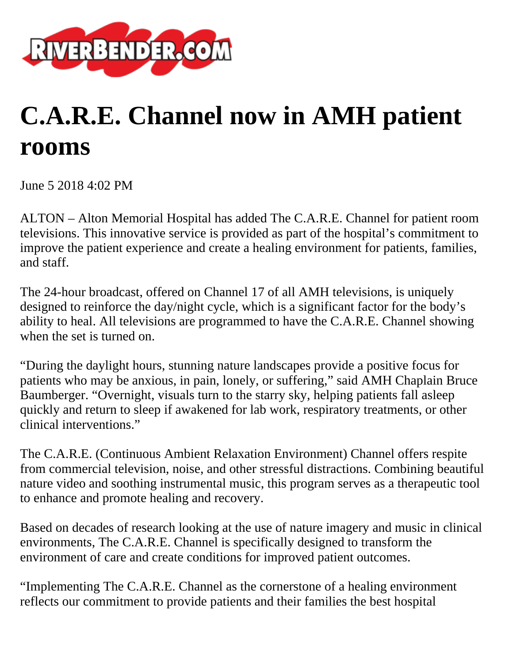

## **C.A.R.E. Channel now in AMH patient rooms**

June 5 2018 4:02 PM

ALTON – Alton Memorial Hospital has added The C.A.R.E. Channel for patient room televisions. This innovative service is provided as part of the hospital's commitment to improve the patient experience and create a healing environment for patients, families, and staff.

The 24-hour broadcast, offered on Channel 17 of all AMH televisions, is uniquely designed to reinforce the day/night cycle, which is a significant factor for the body's ability to heal. All televisions are programmed to have the C.A.R.E. Channel showing when the set is turned on.

"During the daylight hours, stunning nature landscapes provide a positive focus for patients who may be anxious, in pain, lonely, or suffering," said AMH Chaplain Bruce Baumberger. "Overnight, visuals turn to the starry sky, helping patients fall asleep quickly and return to sleep if awakened for lab work, respiratory treatments, or other clinical interventions."

The C.A.R.E. (Continuous Ambient Relaxation Environment) Channel offers respite from commercial television, noise, and other stressful distractions. Combining beautiful nature video and soothing instrumental music, this program serves as a therapeutic tool to enhance and promote healing and recovery.

Based on decades of research looking at the use of nature imagery and music in clinical environments, The C.A.R.E. Channel is specifically designed to transform the environment of care and create conditions for improved patient outcomes.

"Implementing The C.A.R.E. Channel as the cornerstone of a healing environment reflects our commitment to provide patients and their families the best hospital